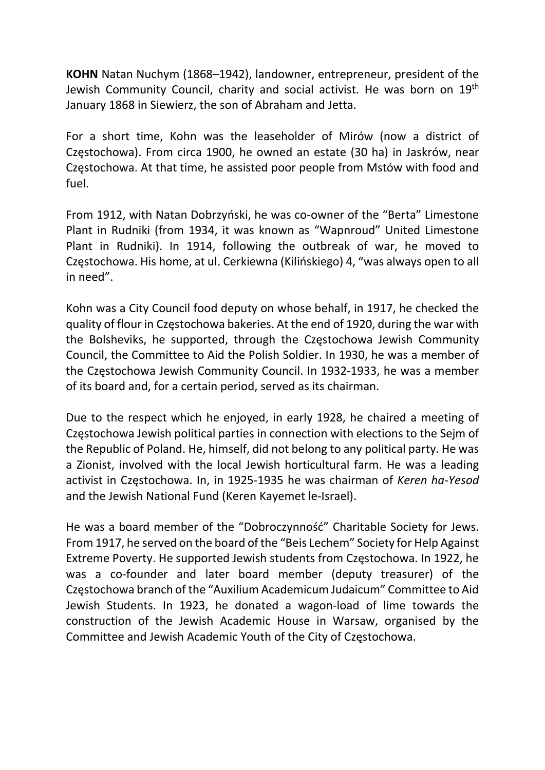KOHN Natan Nuchym (1868–1942), landowner, entrepreneur, president of the Jewish Community Council, charity and social activist. He was born on 19th January 1868 in Siewierz, the son of Abraham and Jetta.

For a short time, Kohn was the leaseholder of Mirów (now a district of Częstochowa). From circa 1900, he owned an estate (30 ha) in Jaskrów, near Częstochowa. At that time, he assisted poor people from Mstów with food and fuel.

From 1912, with Natan Dobrzyński, he was co-owner of the "Berta" Limestone Plant in Rudniki (from 1934, it was known as "Wapnroud" United Limestone Plant in Rudniki). In 1914, following the outbreak of war, he moved to Częstochowa. His home, at ul. Cerkiewna (Kilińskiego) 4, "was always open to all in need".

Kohn was a City Council food deputy on whose behalf, in 1917, he checked the quality of flour in Częstochowa bakeries. At the end of 1920, during the war with the Bolsheviks, he supported, through the Częstochowa Jewish Community Council, the Committee to Aid the Polish Soldier. In 1930, he was a member of the Częstochowa Jewish Community Council. In 1932-1933, he was a member of its board and, for a certain period, served as its chairman.

Due to the respect which he enjoyed, in early 1928, he chaired a meeting of Częstochowa Jewish political parties in connection with elections to the Sejm of the Republic of Poland. He, himself, did not belong to any political party. He was a Zionist, involved with the local Jewish horticultural farm. He was a leading activist in Częstochowa. In, in 1925-1935 he was chairman of Keren ha-Yesod and the Jewish National Fund (Keren Kayemet le-Israel).

He was a board member of the "Dobroczynność" Charitable Society for Jews. From 1917, he served on the board of the "Beis Lechem" Society for Help Against Extreme Poverty. He supported Jewish students from Częstochowa. In 1922, he was a co-founder and later board member (deputy treasurer) of the Częstochowa branch of the "Auxilium Academicum Judaicum" Committee to Aid Jewish Students. In 1923, he donated a wagon-load of lime towards the construction of the Jewish Academic House in Warsaw, organised by the Committee and Jewish Academic Youth of the City of Częstochowa.